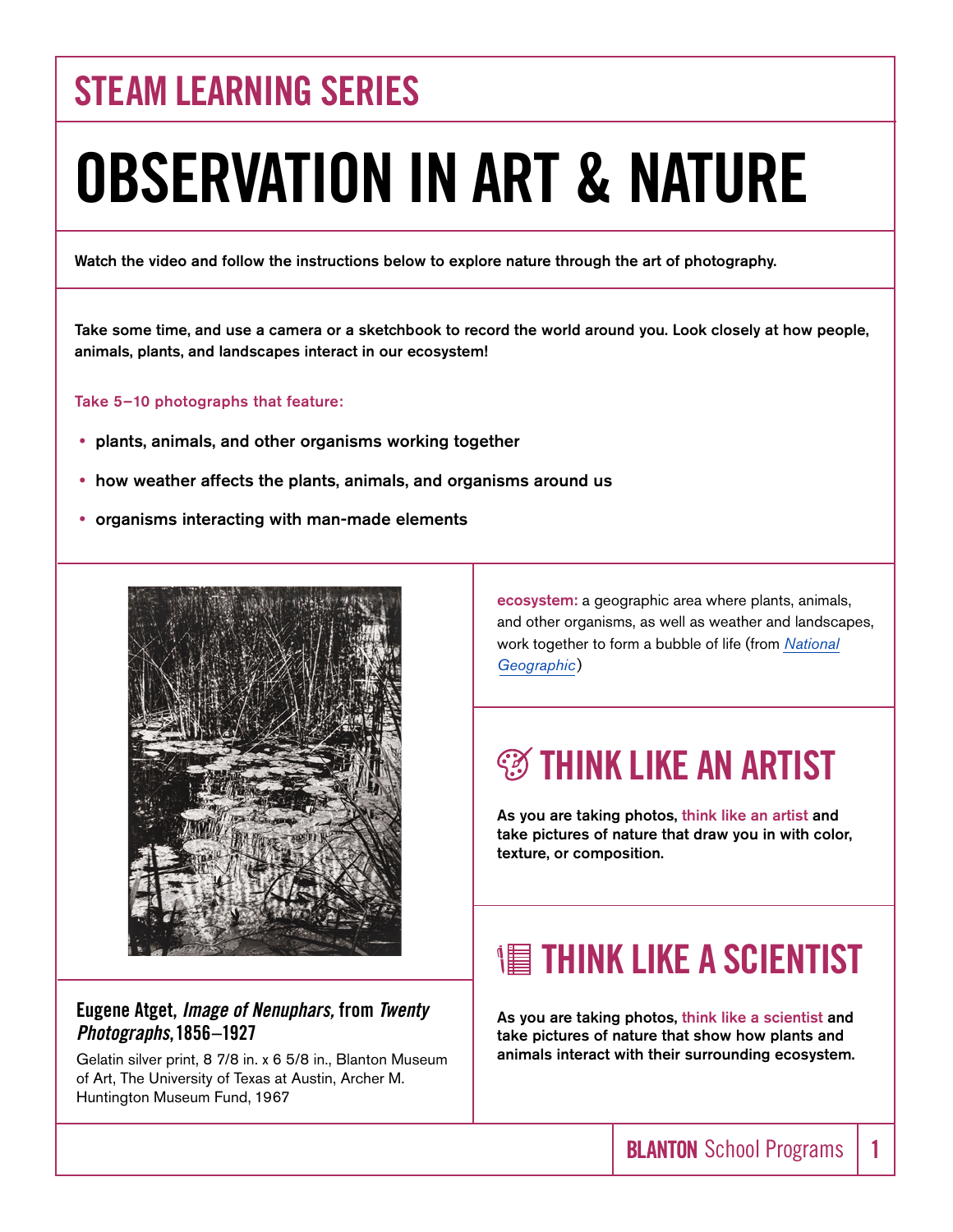## **STEAM LEARNING SERIES**

# **OBSERVATION IN ART & NATURE**

Watch the video and follow the instructions below to explore nature through the art of photography.

Take some time, and use a camera or a sketchbook to record the world around you. Look closely at how people, animals, plants, and landscapes interact in our ecosystem!

#### Take 5–10 photographs that feature:

- plants, animals, and other organisms working together
- how weather affects the plants, animals, and organisms around us
- organisms interacting with man-made elements



#### **Eugene Atget,** *Image of Nenuphars,* **from** *Twenty Photographs***, 1856–1927**

Gelatin silver print, 8 7/8 in. x 6 5/8 in., Blanton Museum of Art, The University of Texas at Austin, Archer M. Huntington Museum Fund, 1967

ecosystem: a geographic area where plants, animals, and other organisms, as well as weather and landscapes, work together to form a bubble of life (from *[National](https://www.nationalgeographic.org/encyclopedia/ecosystem/#:~:text=Powered%20by-,An%20ecosystem%20is%20a%20geographic%20area%20where%20plants%2C%20animals%2C%20and,abiotic%20factors%2C%20or%20nonliving%20parts)  [Geographic](https://www.nationalgeographic.org/encyclopedia/ecosystem/#:~:text=Powered%20by-,An%20ecosystem%20is%20a%20geographic%20area%20where%20plants%2C%20animals%2C%20and,abiotic%20factors%2C%20or%20nonliving%20parts)*)

#### *S***S THINK LIKE AN ARTIST**

As you are taking photos, think like an artist and take pictures of nature that draw you in with color, texture, or composition.

#### **THINK LIKE A SCIENTIST**

As you are taking photos, think like a scientist and take pictures of nature that show how plants and animals interact with their surrounding ecosystem.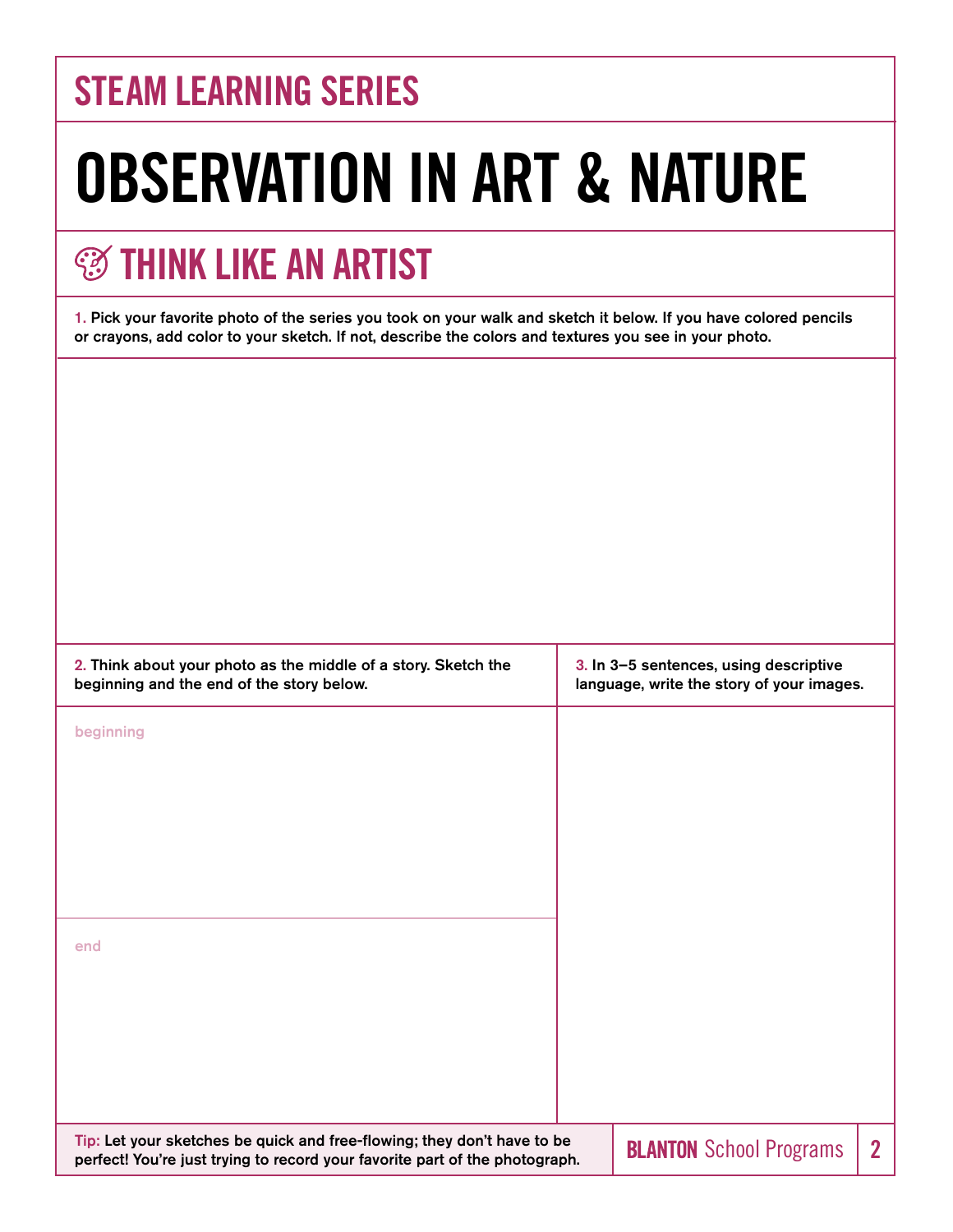## **STEAM LEARNING SERIES**

# **OBSERVATION IN ART & NATURE**

## **<b>THINK LIKE AN ARTIST**

1. Pick your favorite photo of the series you took on your walk and sketch it below. If you have colored pencils or crayons, add color to your sketch. If not, describe the colors and textures you see in your photo.

| 2. Think about your photo as the middle of a story. Sketch the<br>beginning and the end of the story below.                                            |  | 3. In 3-5 sentences, using descriptive<br>language, write the story of your images. |                |
|--------------------------------------------------------------------------------------------------------------------------------------------------------|--|-------------------------------------------------------------------------------------|----------------|
| beginning                                                                                                                                              |  |                                                                                     |                |
|                                                                                                                                                        |  |                                                                                     |                |
|                                                                                                                                                        |  |                                                                                     |                |
|                                                                                                                                                        |  |                                                                                     |                |
| end                                                                                                                                                    |  |                                                                                     |                |
|                                                                                                                                                        |  |                                                                                     |                |
|                                                                                                                                                        |  |                                                                                     |                |
|                                                                                                                                                        |  |                                                                                     |                |
| Tip: Let your sketches be quick and free-flowing; they don't have to be<br>perfect! You're just trying to record your favorite part of the photograph. |  | <b>BLANTON</b> School Programs                                                      | $\overline{2}$ |